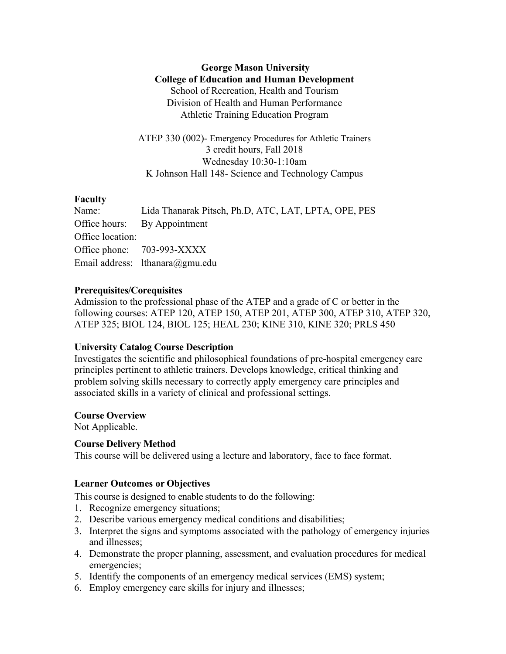## **George Mason University College of Education and Human Development** School of Recreation, Health and Tourism Division of Health and Human Performance Athletic Training Education Program

ATEP 330 (002)- Emergency Procedures for Athletic Trainers 3 credit hours, Fall 2018 Wednesday 10:30-1:10am K Johnson Hall 148- Science and Technology Campus

## **Faculty**

|                  | Name: Lida Thanarak Pitsch, Ph.D, ATC, LAT, LPTA, OPE, PES |
|------------------|------------------------------------------------------------|
|                  | Office hours: By Appointment                               |
| Office location: |                                                            |
|                  | Office phone: 703-993-XXXX                                 |
|                  | Email address: lthanara@gmu.edu                            |

## **Prerequisites/Corequisites**

Admission to the professional phase of the ATEP and a grade of C or better in the following courses: ATEP 120, ATEP 150, ATEP 201, ATEP 300, ATEP 310, ATEP 320, ATEP 325; BIOL 124, BIOL 125; HEAL 230; KINE 310, KINE 320; PRLS 450

## **University Catalog Course Description**

Investigates the scientific and philosophical foundations of pre-hospital emergency care principles pertinent to athletic trainers. Develops knowledge, critical thinking and problem solving skills necessary to correctly apply emergency care principles and associated skills in a variety of clinical and professional settings.

## **Course Overview**

Not Applicable.

## **Course Delivery Method**

This course will be delivered using a lecture and laboratory, face to face format.

## **Learner Outcomes or Objectives**

This course is designed to enable students to do the following:

- 1. Recognize emergency situations;
- 2. Describe various emergency medical conditions and disabilities;
- 3. Interpret the signs and symptoms associated with the pathology of emergency injuries and illnesses;
- 4. Demonstrate the proper planning, assessment, and evaluation procedures for medical emergencies;
- 5. Identify the components of an emergency medical services (EMS) system;
- 6. Employ emergency care skills for injury and illnesses;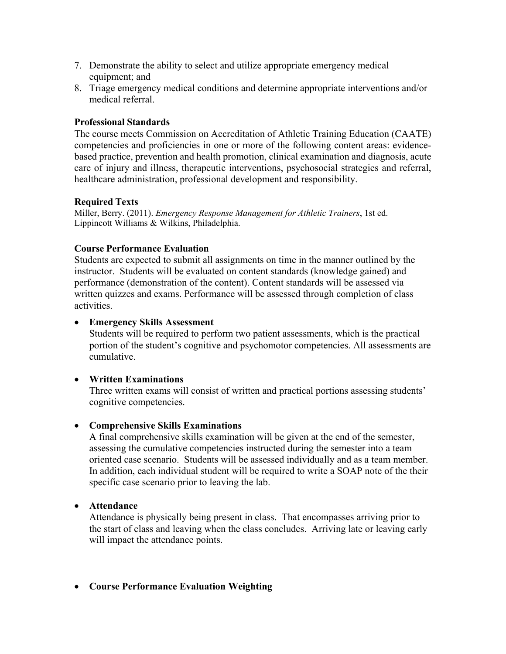- 7. Demonstrate the ability to select and utilize appropriate emergency medical equipment; and
- 8. Triage emergency medical conditions and determine appropriate interventions and/or medical referral.

## **Professional Standards**

The course meets Commission on Accreditation of Athletic Training Education (CAATE) competencies and proficiencies in one or more of the following content areas: evidencebased practice, prevention and health promotion, clinical examination and diagnosis, acute care of injury and illness, therapeutic interventions, psychosocial strategies and referral, healthcare administration, professional development and responsibility.

## **Required Texts**

Miller, Berry. (2011). *Emergency Response Management for Athletic Trainers*, 1st ed. Lippincott Williams & Wilkins, Philadelphia.

## **Course Performance Evaluation**

Students are expected to submit all assignments on time in the manner outlined by the instructor. Students will be evaluated on content standards (knowledge gained) and performance (demonstration of the content). Content standards will be assessed via written quizzes and exams. Performance will be assessed through completion of class activities.

## • **Emergency Skills Assessment**

Students will be required to perform two patient assessments, which is the practical portion of the student's cognitive and psychomotor competencies. All assessments are cumulative.

## • **Written Examinations**

Three written exams will consist of written and practical portions assessing students' cognitive competencies.

## • **Comprehensive Skills Examinations**

A final comprehensive skills examination will be given at the end of the semester, assessing the cumulative competencies instructed during the semester into a team oriented case scenario. Students will be assessed individually and as a team member. In addition, each individual student will be required to write a SOAP note of the their specific case scenario prior to leaving the lab.

## • **Attendance**

Attendance is physically being present in class. That encompasses arriving prior to the start of class and leaving when the class concludes. Arriving late or leaving early will impact the attendance points.

## • **Course Performance Evaluation Weighting**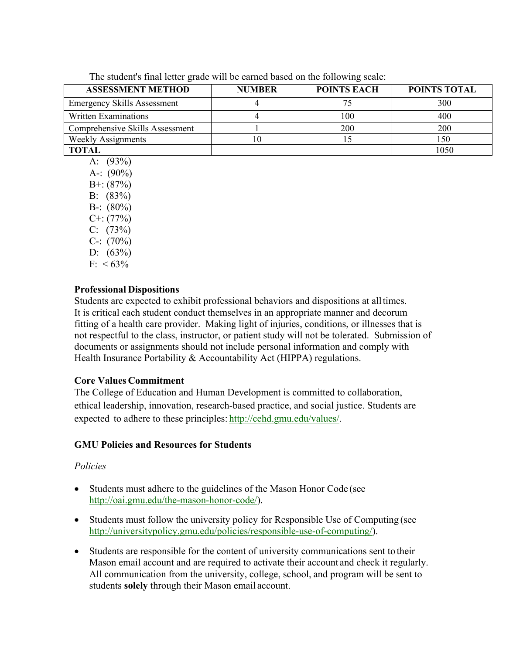The student's final letter grade will be earned based on the following scale:

| <b>ASSESSMENT METHOD</b>           | <b>NUMBER</b> | <b>POINTS EACH</b> | POINTS TOTAL |
|------------------------------------|---------------|--------------------|--------------|
| <b>Emergency Skills Assessment</b> |               |                    | 300          |
| Written Examinations               |               | 100                | 400          |
| Comprehensive Skills Assessment    |               | 200                | 200          |
| <b>Weekly Assignments</b>          |               |                    | 150          |
| TOTAL                              |               |                    | 1050         |

- A: (93%)
- A-:  $(90\%)$ B+: (87%)
- B: (83%)
- B-:  $(80\%)$
- $C^{+}$ : (77%)
- $C: (73%)$
- C-:  $(70%)$
- D: (63%)
- $F: < 63\%$

# **Professional Dispositions**

Students are expected to exhibit professional behaviors and dispositions at alltimes. It is critical each student conduct themselves in an appropriate manner and decorum fitting of a health care provider. Making light of injuries, conditions, or illnesses that is not respectful to the class, instructor, or patient study will not be tolerated. Submission of documents or assignments should not include personal information and comply with Health Insurance Portability & Accountability Act (HIPPA) regulations.

# **Core Values Commitment**

The College of Education and Human Development is committed to collaboration, ethical leadership, innovation, research-based practice, and social justice. Students are expected to adhere to these principles: http://cehd.gmu.edu/values/.

# **GMU Policies and Resources for Students**

# *Policies*

- Students must adhere to the guidelines of the Mason Honor Code (see http://oai.gmu.edu/the-mason-honor-code/).
- Students must follow the university policy for Responsible Use of Computing (see http://universitypolicy.gmu.edu/policies/responsible-use-of-computing/).
- Students are responsible for the content of university communications sent to their Mason email account and are required to activate their account and check it regularly. All communication from the university, college, school, and program will be sent to students **solely** through their Mason email account.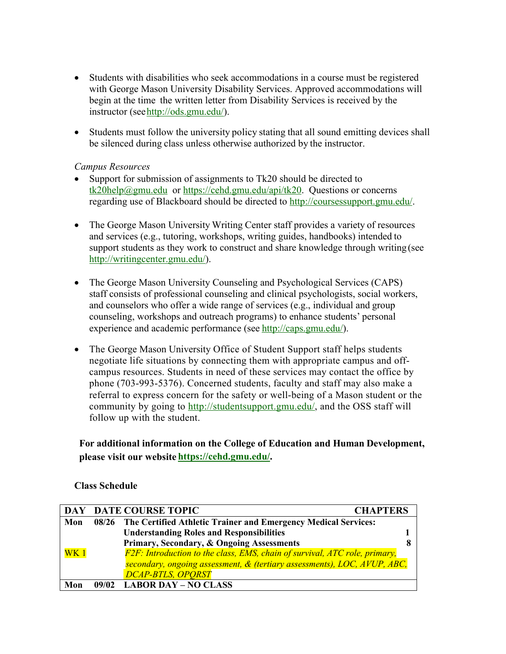- Students with disabilities who seek accommodations in a course must be registered with George Mason University Disability Services. Approved accommodations will begin at the time the written letter from Disability Services is received by the instructor (seehttp://ods.gmu.edu/).
- Students must follow the university policy stating that all sound emitting devices shall be silenced during class unless otherwise authorized by the instructor.

## *Campus Resources*

- Support for submission of assignments to Tk20 should be directed to tk20help@gmu.edu or https://cehd.gmu.edu/api/tk20. Questions or concerns regarding use of Blackboard should be directed to http://coursessupport.gmu.edu/.
- The George Mason University Writing Center staff provides a variety of resources and services (e.g., tutoring, workshops, writing guides, handbooks) intended to support students as they work to construct and share knowledge through writing (see http://writingcenter.gmu.edu/).
- The George Mason University Counseling and Psychological Services (CAPS) staff consists of professional counseling and clinical psychologists, social workers, and counselors who offer a wide range of services (e.g., individual and group counseling, workshops and outreach programs) to enhance students' personal experience and academic performance (see http://caps.gmu.edu/).
- The George Mason University Office of Student Support staff helps students negotiate life situations by connecting them with appropriate campus and offcampus resources. Students in need of these services may contact the office by phone (703-993-5376). Concerned students, faculty and staff may also make a referral to express concern for the safety or well-being of a Mason student or the community by going to http://studentsupport.gmu.edu/, and the OSS staff will follow up with the student.

# **For additional information on the College of Education and Human Development, please visit our website https://cehd.gmu.edu/.**

## **Class Schedule**

|                 | DAY DATE COURSE TOPIC<br><b>CHAPTERS</b>                                   |  |
|-----------------|----------------------------------------------------------------------------|--|
| Mon             | 08/26 The Certified Athletic Trainer and Emergency Medical Services:       |  |
|                 | <b>Understanding Roles and Responsibilities</b>                            |  |
|                 | Primary, Secondary, & Ongoing Assessments                                  |  |
| WK <sub>1</sub> | F2F: Introduction to the class, EMS, chain of survival, ATC role, primary, |  |
|                 | secondary, ongoing assessment, & (tertiary assessments), LOC, AVUP, ABC,   |  |
|                 | <b>DCAP-BTLS, OPORST</b>                                                   |  |
| Mon             | <b>LABOR DAY - NO CLASS</b>                                                |  |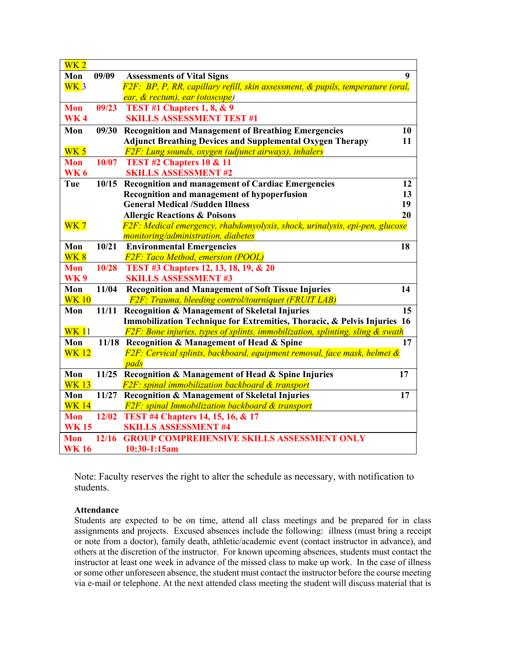| $\overline{\text{WK 2}}$ |       |                                                                                      |    |
|--------------------------|-------|--------------------------------------------------------------------------------------|----|
| Mon                      | 09/09 | <b>Assessments of Vital Signs</b>                                                    | 9  |
| WK3                      |       | F2F: BP, P, RR, capillary refill, skin assessment, & pupils, temperature (oral,      |    |
|                          |       | ear, & rectum), ear (otoscope)                                                       |    |
| <b>Mon</b>               | 09/23 | TEST #1 Chapters 1, 8, $& 9$                                                         |    |
| <b>WK4</b>               |       | <b>SKILLS ASSESSMENT TEST #1</b>                                                     |    |
| Mon                      | 09/30 | <b>Recognition and Management of Breathing Emergencies</b>                           | 10 |
|                          |       | <b>Adjunct Breathing Devices and Supplemental Oxygen Therapy</b>                     | 11 |
| WK <sub>5</sub>          |       | F2F: Lung sounds, oxygen (adjunct airways), inhalers                                 |    |
| <b>Mon</b>               | 10/07 | TEST #2 Chapters 10 & 11                                                             |    |
| <b>WK6</b>               |       | <b>SKILLS ASSESSMENT #2</b>                                                          |    |
| Tue                      | 10/15 | <b>Recognition and management of Cardiac Emergencies</b>                             | 12 |
|                          |       | Recognition and management of hypoperfusion                                          | 13 |
|                          |       | <b>General Medical /Sudden Illness</b>                                               | 19 |
|                          |       | <b>Allergic Reactions &amp; Poisons</b>                                              | 20 |
| WK <sub>7</sub>          |       | F2F: Medical emergency, rhabdomyolysis, shock, urinalysis, epi-pen, glucose          |    |
|                          |       | monitoring/administration, diabetes                                                  |    |
| Mon                      | 10/21 | <b>Environmental Emergencies</b>                                                     | 18 |
| $\overline{\text{WK }8}$ |       | <b>F2F: Taco Method, emersion (POOL)</b>                                             |    |
| <b>Mon</b>               | 10/28 | TEST #3 Chapters 12, 13, 18, 19, & 20                                                |    |
| <b>WK9</b>               |       | <b>SKILLS ASSESSMENT #3</b>                                                          |    |
| Mon                      | 11/04 | <b>Recognition and Management of Soft Tissue Injuries</b>                            | 14 |
| <b>WK 10</b>             |       | <b>F2F: Trauma, bleeding control/tourniquet (FRUIT LAB)</b>                          |    |
| Mon                      | 11/11 | <b>Recognition &amp; Management of Skeletal Injuries</b>                             | 15 |
|                          |       | Immobilization Technique for Extremities, Thoracic, & Pelvis Injuries 16             |    |
| WK 11                    |       | $F2F$ : Bone injuries, types of splints, immobilization, splinting, sling $\&$ swath |    |
| Mon                      |       | 11/18 Recognition & Management of Head & Spine                                       | 17 |
| <b>WK 12</b>             |       | $F2F$ : Cervical splints, backboard, equipment removal, face mask, helmet $\&$       |    |
|                          |       | pads                                                                                 |    |
| Mon                      | 11/25 | Recognition & Management of Head & Spine Injuries                                    | 17 |
| <b>WK13</b>              |       | F2F: spinal immobilization backboard & transport                                     |    |
| Mon                      | 11/27 | Recognition & Management of Skeletal Injuries                                        | 17 |
| <b>WK 14</b>             |       | <b>F2F</b> : spinal Immobilization backboard & transport                             |    |
| <b>Mon</b>               |       | 12/02 TEST #4 Chapters 14, 15, 16, & 17                                              |    |
| <b>WK15</b>              |       | <b>SKILLS ASSESSMENT #4</b>                                                          |    |
| <b>Mon</b>               | 12/16 | <b>GROUP COMPREHENSIVE SKILLS ASSESSMENT ONLY</b>                                    |    |
| <b>WK16</b>              |       | 10:30-1:15am                                                                         |    |

Note: Faculty reserves the right to alter the schedule as necessary, with notification to students.

### **Attendance**

Students are expected to be on time, attend all class meetings and be prepared for in class assignments and projects. Excused absences include the following: illness (must bring a receipt or note from a doctor), family death, athletic/academic event (contact instructor in advance), and others at the discretion of the instructor. For known upcoming absences, students must contact the instructor at least one week in advance of the missed class to make up work. In the case of illness or some other unforeseen absence, the student must contact the instructor before the course meeting via e-mail or telephone. At the next attended class meeting the student will discuss material that is